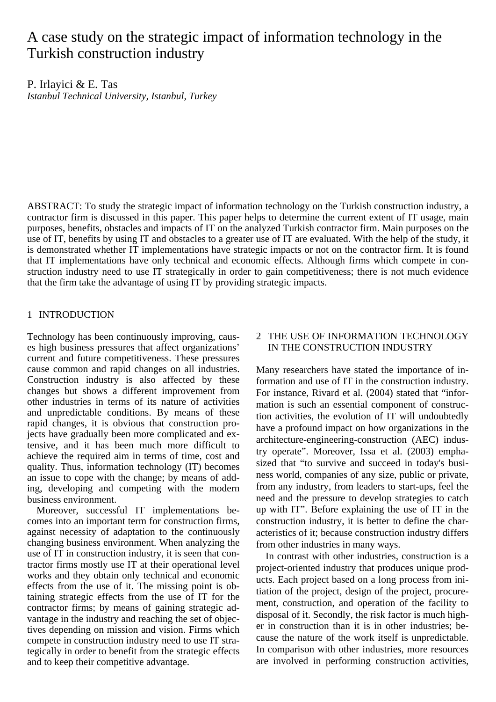# A case study on the strategic impact of information technology in the Turkish construction industry

P. Irlayici & E. Tas *Istanbul Technical University, Istanbul, Turkey* 

ABSTRACT: To study the strategic impact of information technology on the Turkish construction industry, a contractor firm is discussed in this paper. This paper helps to determine the current extent of IT usage, main purposes, benefits, obstacles and impacts of IT on the analyzed Turkish contractor firm. Main purposes on the use of IT, benefits by using IT and obstacles to a greater use of IT are evaluated. With the help of the study, it is demonstrated whether IT implementations have strategic impacts or not on the contractor firm. It is found that IT implementations have only technical and economic effects. Although firms which compete in construction industry need to use IT strategically in order to gain competitiveness; there is not much evidence that the firm take the advantage of using IT by providing strategic impacts.

## 1 INTRODUCTION

Technology has been continuously improving, causes high business pressures that affect organizations' current and future competitiveness. These pressures cause common and rapid changes on all industries. Construction industry is also affected by these changes but shows a different improvement from other industries in terms of its nature of activities and unpredictable conditions. By means of these rapid changes, it is obvious that construction projects have gradually been more complicated and extensive, and it has been much more difficult to achieve the required aim in terms of time, cost and quality. Thus, information technology (IT) becomes an issue to cope with the change; by means of adding, developing and competing with the modern business environment.

Moreover, successful IT implementations becomes into an important term for construction firms, against necessity of adaptation to the continuously changing business environment. When analyzing the use of IT in construction industry, it is seen that contractor firms mostly use IT at their operational level works and they obtain only technical and economic effects from the use of it. The missing point is obtaining strategic effects from the use of IT for the contractor firms; by means of gaining strategic advantage in the industry and reaching the set of objectives depending on mission and vision. Firms which compete in construction industry need to use IT strategically in order to benefit from the strategic effects and to keep their competitive advantage.

## 2 THE USE OF INFORMATION TECHNOLOGY IN THE CONSTRUCTION INDUSTRY

Many researchers have stated the importance of information and use of IT in the construction industry. For instance, Rivard et al. (2004) stated that "information is such an essential component of construction activities, the evolution of IT will undoubtedly have a profound impact on how organizations in the architecture-engineering-construction (AEC) industry operate". Moreover, Issa et al. (2003) emphasized that "to survive and succeed in today's business world, companies of any size, public or private, from any industry, from leaders to start-ups, feel the need and the pressure to develop strategies to catch up with IT". Before explaining the use of IT in the construction industry, it is better to define the characteristics of it; because construction industry differs from other industries in many ways.

In contrast with other industries, construction is a project-oriented industry that produces unique products. Each project based on a long process from initiation of the project, design of the project, procurement, construction, and operation of the facility to disposal of it. Secondly, the risk factor is much higher in construction than it is in other industries; because the nature of the work itself is unpredictable. In comparison with other industries, more resources are involved in performing construction activities,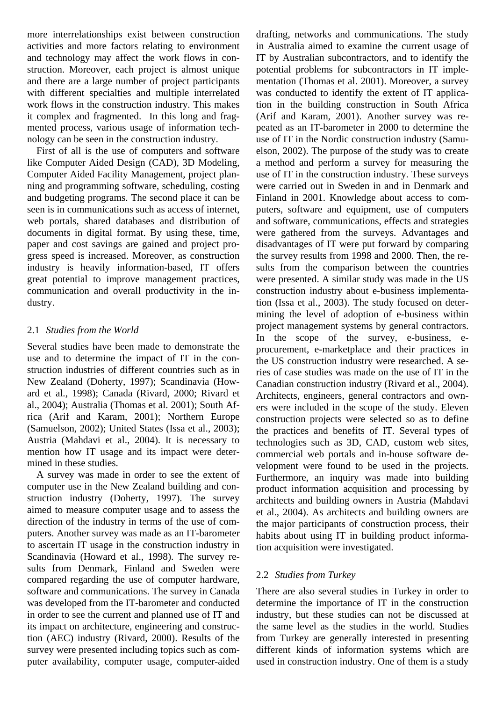more interrelationships exist between construction activities and more factors relating to environment and technology may affect the work flows in construction. Moreover, each project is almost unique and there are a large number of project participants with different specialties and multiple interrelated work flows in the construction industry. This makes it complex and fragmented. In this long and fragmented process, various usage of information technology can be seen in the construction industry.

First of all is the use of computers and software like Computer Aided Design (CAD), 3D Modeling, Computer Aided Facility Management, project planning and programming software, scheduling, costing and budgeting programs. The second place it can be seen is in communications such as access of internet, web portals, shared databases and distribution of documents in digital format. By using these, time, paper and cost savings are gained and project progress speed is increased. Moreover, as construction industry is heavily information-based, IT offers great potential to improve management practices, communication and overall productivity in the industry.

# 2.1 *Studies from the World*

Several studies have been made to demonstrate the use and to determine the impact of IT in the construction industries of different countries such as in New Zealand (Doherty, 1997); Scandinavia (Howard et al., 1998); Canada (Rivard, 2000; Rivard et al., 2004); Australia (Thomas et al. 2001); South Africa (Arif and Karam, 2001); Northern Europe (Samuelson, 2002); United States (Issa et al., 2003); Austria (Mahdavi et al., 2004). It is necessary to mention how IT usage and its impact were determined in these studies.

A survey was made in order to see the extent of computer use in the New Zealand building and construction industry (Doherty, 1997). The survey aimed to measure computer usage and to assess the direction of the industry in terms of the use of computers. Another survey was made as an IT-barometer to ascertain IT usage in the construction industry in Scandinavia (Howard et al., 1998). The survey results from Denmark, Finland and Sweden were compared regarding the use of computer hardware, software and communications. The survey in Canada was developed from the IT-barometer and conducted in order to see the current and planned use of IT and its impact on architecture, engineering and construction (AEC) industry (Rivard, 2000). Results of the survey were presented including topics such as computer availability, computer usage, computer-aided

drafting, networks and communications. The study in Australia aimed to examine the current usage of IT by Australian subcontractors, and to identify the potential problems for subcontractors in IT implementation (Thomas et al. 2001). Moreover, a survey was conducted to identify the extent of IT application in the building construction in South Africa (Arif and Karam, 2001). Another survey was repeated as an IT-barometer in 2000 to determine the use of IT in the Nordic construction industry (Samuelson, 2002). The purpose of the study was to create a method and perform a survey for measuring the use of IT in the construction industry. These surveys were carried out in Sweden in and in Denmark and Finland in 2001. Knowledge about access to computers, software and equipment, use of computers and software, communications, effects and strategies were gathered from the surveys. Advantages and disadvantages of IT were put forward by comparing the survey results from 1998 and 2000. Then, the results from the comparison between the countries were presented. A similar study was made in the US construction industry about e-business implementation (Issa et al., 2003). The study focused on determining the level of adoption of e-business within project management systems by general contractors. In the scope of the survey, e-business, eprocurement, e-marketplace and their practices in the US construction industry were researched. A series of case studies was made on the use of IT in the Canadian construction industry (Rivard et al., 2004). Architects, engineers, general contractors and owners were included in the scope of the study. Eleven construction projects were selected so as to define the practices and benefits of IT. Several types of technologies such as 3D, CAD, custom web sites, commercial web portals and in-house software development were found to be used in the projects. Furthermore, an inquiry was made into building product information acquisition and processing by architects and building owners in Austria (Mahdavi et al., 2004). As architects and building owners are the major participants of construction process, their habits about using IT in building product information acquisition were investigated.

# 2.2 *Studies from Turkey*

There are also several studies in Turkey in order to determine the importance of IT in the construction industry, but these studies can not be discussed at the same level as the studies in the world. Studies from Turkey are generally interested in presenting different kinds of information systems which are used in construction industry. One of them is a study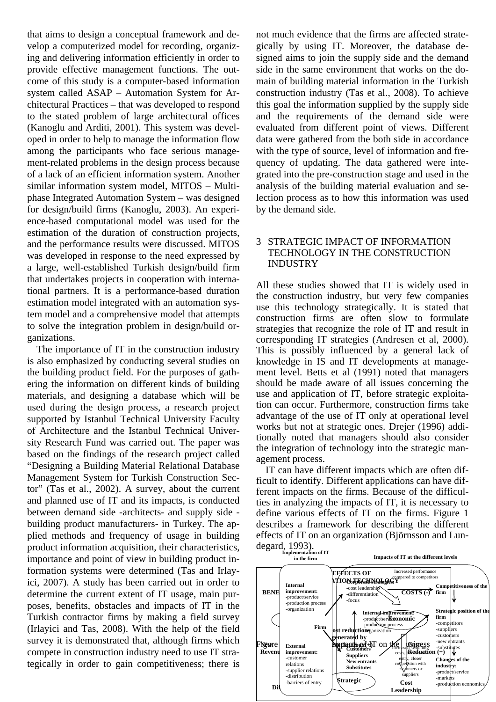that aims to design a conceptual framework and develop a computerized model for recording, organizing and delivering information efficiently in order to provide effective management functions. The outcome of this study is a computer-based information system called ASAP – Automation System for Architectural Practices – that was developed to respond to the stated problem of large architectural offices (Kanoglu and Arditi, 2001). This system was developed in order to help to manage the information flow among the participants who face serious management-related problems in the design process because of a lack of an efficient information system. Another similar information system model, MITOS – Multiphase Integrated Automation System – was designed for design/build firms (Kanoglu, 2003). An experience-based computational model was used for the estimation of the duration of construction projects, and the performance results were discussed. MITOS was developed in response to the need expressed by a large, well-established Turkish design/build firm that undertakes projects in cooperation with international partners. It is a performance-based duration estimation model integrated with an automation system model and a comprehensive model that attempts to solve the integration problem in design/build organizations.

The importance of IT in the construction industry is also emphasized by conducting several studies on the building product field. For the purposes of gathering the information on different kinds of building materials, and designing a database which will be used during the design process, a research project supported by Istanbul Technical University Faculty of Architecture and the Istanbul Technical University Research Fund was carried out. The paper was based on the findings of the research project called "Designing a Building Material Relational Database Management System for Turkish Construction Sector" (Tas et al., 2002). A survey, about the current and planned use of IT and its impacts, is conducted between demand side -architects- and supply side building product manufacturers- in Turkey. The applied methods and frequency of usage in building product information acquisition, their characteristics, importance and point of view in building product information systems were determined (Tas and Irlayici, 2007). A study has been carried out in order to determine the current extent of IT usage, main purposes, benefits, obstacles and impacts of IT in the Turkish contractor firms by making a field survey (Irlayici and Tas, 2008). With the help of the field survey it is demonstrated that, although firms which compete in construction industry need to use IT strategically in order to gain competitiveness; there is

not much evidence that the firms are affected strategically by using IT. Moreover, the database designed aims to join the supply side and the demand side in the same environment that works on the domain of building material information in the Turkish construction industry (Tas et al., 2008). To achieve this goal the information supplied by the supply side and the requirements of the demand side were evaluated from different point of views. Different data were gathered from the both side in accordance with the type of source, level of information and frequency of updating. The data gathered were integrated into the pre-construction stage and used in the analysis of the building material evaluation and selection process as to how this information was used by the demand side.

## 3 STRATEGIC IMPACT OF INFORMATION TECHNOLOGY IN THE CONSTRUCTION INDUSTRY

All these studies showed that IT is widely used in the construction industry, but very few companies use this technology strategically. It is stated that construction firms are often slow to formulate strategies that recognize the role of IT and result in corresponding IT strategies (Andresen et al, 2000). This is possibly influenced by a general lack of knowledge in IS and IT developments at management level. Betts et al (1991) noted that managers should be made aware of all issues concerning the use and application of IT, before strategic exploitation can occur. Furthermore, construction firms take advantage of the use of IT only at operational level works but not at strategic ones. Drejer (1996) additionally noted that managers should also consider the integration of technology into the strategic management process.

IT can have different impacts which are often difficult to identify. Different applications can have different impacts on the firms. Because of the difficulties in analyzing the impacts of IT, it is necessary to define various effects of IT on the firms. Figure 1 describes a framework for describing the different effects of IT on an organization (Björnsson and Lundegard, 1993). **Implementation of IT** 

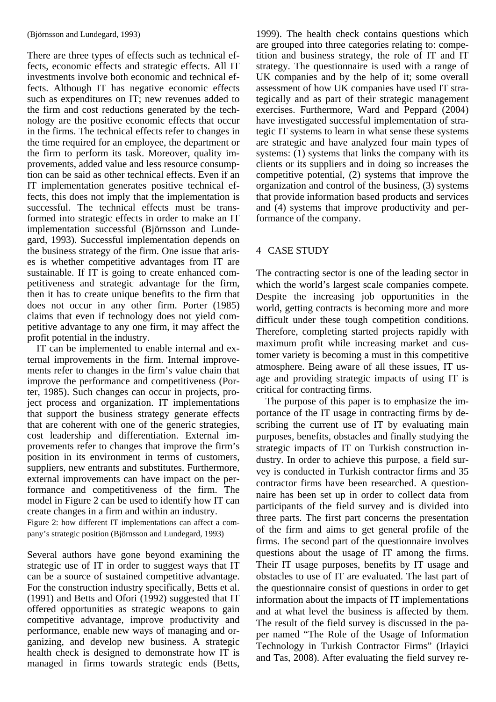There are three types of effects such as technical effects, economic effects and strategic effects. All IT investments involve both economic and technical effects. Although IT has negative economic effects such as expenditures on IT; new revenues added to the firm and cost reductions generated by the technology are the positive economic effects that occur in the firms. The technical effects refer to changes in the time required for an employee, the department or the firm to perform its task. Moreover, quality improvements, added value and less resource consumption can be said as other technical effects. Even if an IT implementation generates positive technical effects, this does not imply that the implementation is successful. The technical effects must be transformed into strategic effects in order to make an IT implementation successful (Björnsson and Lundegard, 1993). Successful implementation depends on the business strategy of the firm. One issue that arises is whether competitive advantages from IT are sustainable. If IT is going to create enhanced competitiveness and strategic advantage for the firm, then it has to create unique benefits to the firm that does not occur in any other firm. Porter (1985) claims that even if technology does not yield competitive advantage to any one firm, it may affect the profit potential in the industry.

IT can be implemented to enable internal and external improvements in the firm. Internal improvements refer to changes in the firm's value chain that improve the performance and competitiveness (Porter, 1985). Such changes can occur in projects, project process and organization. IT implementations that support the business strategy generate effects that are coherent with one of the generic strategies, cost leadership and differentiation. External improvements refer to changes that improve the firm's position in its environment in terms of customers, suppliers, new entrants and substitutes. Furthermore, external improvements can have impact on the performance and competitiveness of the firm. The model in Figure 2 can be used to identify how IT can create changes in a firm and within an industry. Figure 2: how different IT implementations can affect a com-

pany's strategic position (Björnsson and Lundegard, 1993)

Several authors have gone beyond examining the strategic use of IT in order to suggest ways that IT can be a source of sustained competitive advantage. For the construction industry specifically, Betts et al. (1991) and Betts and Ofori (1992) suggested that IT offered opportunities as strategic weapons to gain competitive advantage, improve productivity and performance, enable new ways of managing and organizing, and develop new business. A strategic health check is designed to demonstrate how IT is managed in firms towards strategic ends (Betts, 1999). The health check contains questions which are grouped into three categories relating to: competition and business strategy, the role of IT and IT strategy. The questionnaire is used with a range of UK companies and by the help of it; some overall assessment of how UK companies have used IT strategically and as part of their strategic management exercises. Furthermore, Ward and Peppard (2004) have investigated successful implementation of strategic IT systems to learn in what sense these systems are strategic and have analyzed four main types of systems: (1) systems that links the company with its clients or its suppliers and in doing so increases the competitive potential, (2) systems that improve the organization and control of the business, (3) systems that provide information based products and services and (4) systems that improve productivity and performance of the company.

# 4 CASE STUDY

The contracting sector is one of the leading sector in which the world's largest scale companies compete. Despite the increasing job opportunities in the world, getting contracts is becoming more and more difficult under these tough competition conditions. Therefore, completing started projects rapidly with maximum profit while increasing market and customer variety is becoming a must in this competitive atmosphere. Being aware of all these issues, IT usage and providing strategic impacts of using IT is critical for contracting firms.

The purpose of this paper is to emphasize the importance of the IT usage in contracting firms by describing the current use of IT by evaluating main purposes, benefits, obstacles and finally studying the strategic impacts of IT on Turkish construction industry. In order to achieve this purpose, a field survey is conducted in Turkish contractor firms and 35 contractor firms have been researched. A questionnaire has been set up in order to collect data from participants of the field survey and is divided into three parts. The first part concerns the presentation of the firm and aims to get general profile of the firms. The second part of the questionnaire involves questions about the usage of IT among the firms. Their IT usage purposes, benefits by IT usage and obstacles to use of IT are evaluated. The last part of the questionnaire consist of questions in order to get information about the impacts of IT implementations and at what level the business is affected by them. The result of the field survey is discussed in the paper named "The Role of the Usage of Information Technology in Turkish Contractor Firms" (Irlayici and Tas, 2008). After evaluating the field survey re-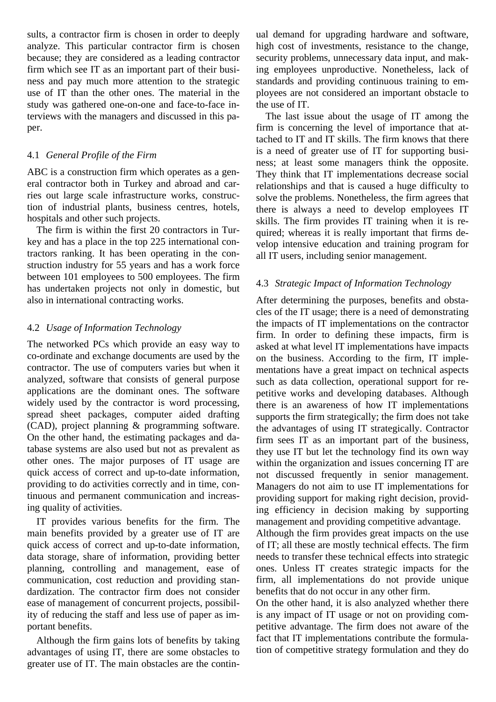sults, a contractor firm is chosen in order to deeply analyze. This particular contractor firm is chosen because; they are considered as a leading contractor firm which see IT as an important part of their business and pay much more attention to the strategic use of IT than the other ones. The material in the study was gathered one-on-one and face-to-face interviews with the managers and discussed in this paper.

## 4.1 *General Profile of the Firm*

ABC is a construction firm which operates as a general contractor both in Turkey and abroad and carries out large scale infrastructure works, construction of industrial plants, business centres, hotels, hospitals and other such projects.

The firm is within the first 20 contractors in Turkey and has a place in the top 225 international contractors ranking. It has been operating in the construction industry for 55 years and has a work force between 101 employees to 500 employees. The firm has undertaken projects not only in domestic, but also in international contracting works.

## 4.2 *Usage of Information Technology*

The networked PCs which provide an easy way to co-ordinate and exchange documents are used by the contractor. The use of computers varies but when it analyzed, software that consists of general purpose applications are the dominant ones. The software widely used by the contractor is word processing, spread sheet packages, computer aided drafting (CAD), project planning & programming software. On the other hand, the estimating packages and database systems are also used but not as prevalent as other ones. The major purposes of IT usage are quick access of correct and up-to-date information, providing to do activities correctly and in time, continuous and permanent communication and increasing quality of activities.

IT provides various benefits for the firm. The main benefits provided by a greater use of IT are quick access of correct and up-to-date information, data storage, share of information, providing better planning, controlling and management, ease of communication, cost reduction and providing standardization. The contractor firm does not consider ease of management of concurrent projects, possibility of reducing the staff and less use of paper as important benefits.

Although the firm gains lots of benefits by taking advantages of using IT, there are some obstacles to greater use of IT. The main obstacles are the contin-

ual demand for upgrading hardware and software, high cost of investments, resistance to the change, security problems, unnecessary data input, and making employees unproductive. Nonetheless, lack of standards and providing continuous training to employees are not considered an important obstacle to the use of IT.

The last issue about the usage of IT among the firm is concerning the level of importance that attached to IT and IT skills. The firm knows that there is a need of greater use of IT for supporting business; at least some managers think the opposite. They think that IT implementations decrease social relationships and that is caused a huge difficulty to solve the problems. Nonetheless, the firm agrees that there is always a need to develop employees IT skills. The firm provides IT training when it is required; whereas it is really important that firms develop intensive education and training program for all IT users, including senior management.

# 4.3 *Strategic Impact of Information Technology*

After determining the purposes, benefits and obstacles of the IT usage; there is a need of demonstrating the impacts of IT implementations on the contractor firm. In order to defining these impacts, firm is asked at what level IT implementations have impacts on the business. According to the firm, IT implementations have a great impact on technical aspects such as data collection, operational support for repetitive works and developing databases. Although there is an awareness of how IT implementations supports the firm strategically; the firm does not take the advantages of using IT strategically. Contractor firm sees IT as an important part of the business, they use IT but let the technology find its own way within the organization and issues concerning IT are not discussed frequently in senior management. Managers do not aim to use IT implementations for providing support for making right decision, providing efficiency in decision making by supporting management and providing competitive advantage.

Although the firm provides great impacts on the use of IT; all these are mostly technical effects. The firm needs to transfer these technical effects into strategic ones. Unless IT creates strategic impacts for the firm, all implementations do not provide unique benefits that do not occur in any other firm.

On the other hand, it is also analyzed whether there is any impact of IT usage or not on providing competitive advantage. The firm does not aware of the fact that IT implementations contribute the formulation of competitive strategy formulation and they do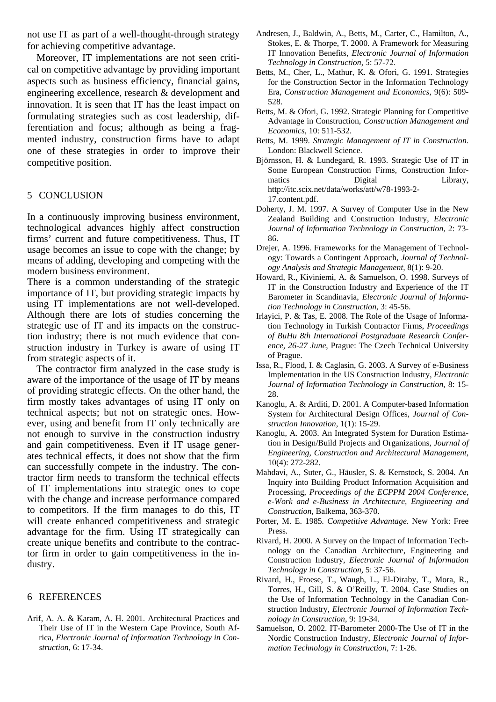not use IT as part of a well-thought-through strategy for achieving competitive advantage.

Moreover, IT implementations are not seen critical on competitive advantage by providing important aspects such as business efficiency, financial gains, engineering excellence, research & development and innovation. It is seen that IT has the least impact on formulating strategies such as cost leadership, differentiation and focus; although as being a fragmented industry, construction firms have to adapt one of these strategies in order to improve their competitive position.

#### 5 CONCLUSION

In a continuously improving business environment, technological advances highly affect construction firms' current and future competitiveness. Thus, IT usage becomes an issue to cope with the change; by means of adding, developing and competing with the modern business environment.

There is a common understanding of the strategic importance of IT, but providing strategic impacts by using IT implementations are not well-developed. Although there are lots of studies concerning the strategic use of IT and its impacts on the construction industry; there is not much evidence that construction industry in Turkey is aware of using IT from strategic aspects of it.

The contractor firm analyzed in the case study is aware of the importance of the usage of IT by means of providing strategic effects. On the other hand, the firm mostly takes advantages of using IT only on technical aspects; but not on strategic ones. However, using and benefit from IT only technically are not enough to survive in the construction industry and gain competitiveness. Even if IT usage generates technical effects, it does not show that the firm can successfully compete in the industry. The contractor firm needs to transform the technical effects of IT implementations into strategic ones to cope with the change and increase performance compared to competitors. If the firm manages to do this, IT will create enhanced competitiveness and strategic advantage for the firm. Using IT strategically can create unique benefits and contribute to the contractor firm in order to gain competitiveness in the industry.

#### 6 REFERENCES

Arif, A. A. & Karam, A. H. 2001. Architectural Practices and Their Use of IT in the Western Cape Province, South Africa, *Electronic Journal of Information Technology in Construction,* 6: 17-34.

- Andresen, J., Baldwin, A., Betts, M., Carter, C., Hamilton, A., Stokes, E. & Thorpe, T. 2000. A Framework for Measuring IT Innovation Benefits, *Electronic Journal of Information Technology in Construction*, 5: 57-72.
- Betts, M., Cher, L., Mathur, K. & Ofori, G. 1991. Strategies for the Construction Sector in the Information Technology Era, *Construction Management and Economics,* 9(6): 509- 528.
- Betts, M. & Ofori, G. 1992. Strategic Planning for Competitive Advantage in Construction, *Construction Management and Economics*, 10: 511-532.
- Betts, M. 1999. *Strategic Management of IT in Construction.*  London: Blackwell Science.
- Björnsson, H. & Lundegard, R. 1993. Strategic Use of IT in Some European Construction Firms, Construction Informatics Digital Library, http://itc.scix.net/data/works/att/w78-1993-2- 17.content.pdf.
- Doherty, J. M. 1997. A Survey of Computer Use in the New Zealand Building and Construction Industry, *Electronic Journal of Information Technology in Construction,* 2: 73- 86.
- Drejer, A. 1996. Frameworks for the Management of Technology: Towards a Contingent Approach, *Journal of Technology Analysis and Strategic Management,* 8(1): 9-20.
- Howard, R., Kiviniemi, A. & Samuelson, O. 1998. Surveys of IT in the Construction Industry and Experience of the IT Barometer in Scandinavia, *Electronic Journal of Information Technology in Construction,* 3: 45-56.
- Irlayici, P. & Tas, E. 2008. The Role of the Usage of Information Technology in Turkish Contractor Firms, *Proceedings of BuHu 8th International Postgraduate Research Conference, 26-27 June*, Prague: The Czech Technical University of Prague.
- Issa, R., Flood, I. & Caglasin, G. 2003. A Survey of e-Business Implementation in the US Construction Industry, *Electronic Journal of Information Technology in Construction*, 8: 15- 28.
- Kanoglu, A. & Arditi, D. 2001. A Computer-based Information System for Architectural Design Offices, *Journal of Construction Innovation,* 1(1): 15-29.
- Kanoglu, A. 2003. An Integrated System for Duration Estimation in Design/Build Projects and Organizations, *Journal of Engineering, Construction and Architectural Management*, 10(4): 272-282.
- Mahdavi, A., Suter, G., Häusler, S. & Kernstock, S. 2004. An Inquiry into Building Product Information Acquisition and Processing, *Proceedings of the ECPPM 2004 Conference, e-Work and e-Business in Architecture, Engineering and Construction,* Balkema, 363-370.
- Porter, M. E. 1985*. Competitive Advantage.* New York: Free Press.
- Rivard, H. 2000. A Survey on the Impact of Information Technology on the Canadian Architecture, Engineering and Construction Industry, *Electronic Journal of Information Technology in Construction,* 5: 37-56.
- Rivard, H., Froese, T., Waugh, L., El-Diraby, T., Mora, R., Torres, H., Gill, S. & O'Reilly, T. 2004. Case Studies on the Use of Information Technology in the Canadian Construction Industry, *Electronic Journal of Information Technology in Construction*, 9: 19-34.
- Samuelson, O. 2002. IT-Barometer 2000-The Use of IT in the Nordic Construction Industry, *Electronic Journal of Information Technology in Construction,* 7: 1-26.